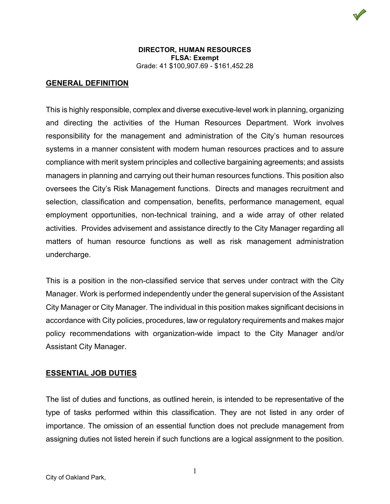## **GENERAL DEFINITION**

This is highly responsible, complex and diverse executive-level work in planning, organizing and directing the activities of the Human Resources Department. Work involves responsibility for the management and administration of the City's human resources systems in a manner consistent with modern human resources practices and to assure compliance with merit system principles and collective bargaining agreements; and assists managers in planning and carrying out their human resources functions. This position also oversees the City's Risk Management functions. Directs and manages recruitment and selection, classification and compensation, benefits, performance management, equal employment opportunities, non-technical training, and a wide array of other related activities. Provides advisement and assistance directly to the City Manager regarding all matters of human resource functions as well as risk management administration undercharge.

This is a position in the non-classified service that serves under contract with the City Manager. Work is performed independently under the general supervision of the Assistant City Manager or City Manager. The individual in this position makes significant decisions in accordance with City policies, procedures, law or regulatory requirements and makes major policy recommendations with organization-wide impact to the City Manager and/or Assistant City Manager.

### **ESSENTIAL JOB DUTIES**

The list of duties and functions, as outlined herein, is intended to be representative of the type of tasks performed within this classification. They are not listed in any order of importance. The omission of an essential function does not preclude management from assigning duties not listed herein if such functions are a logical assignment to the position.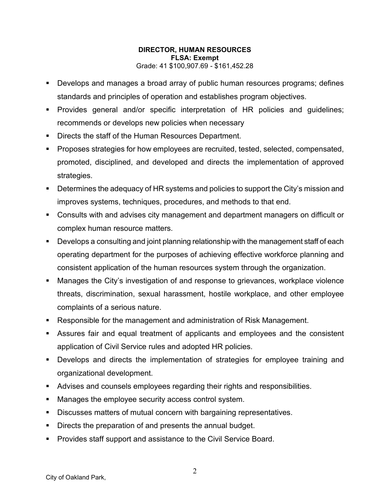- Develops and manages a broad array of public human resources programs; defines standards and principles of operation and establishes program objectives.
- Provides general and/or specific interpretation of HR policies and guidelines; recommends or develops new policies when necessary
- **Directs the staff of the Human Resources Department.**
- Proposes strategies for how employees are recruited, tested, selected, compensated, promoted, disciplined, and developed and directs the implementation of approved strategies.
- **Determines the adequacy of HR systems and policies to support the City's mission and** improves systems, techniques, procedures, and methods to that end.
- Consults with and advises city management and department managers on difficult or complex human resource matters.
- **Develops a consulting and joint planning relationship with the management staff of each** operating department for the purposes of achieving effective workforce planning and consistent application of the human resources system through the organization.
- Manages the City's investigation of and response to grievances, workplace violence threats, discrimination, sexual harassment, hostile workplace, and other employee complaints of a serious nature.
- Responsible for the management and administration of Risk Management.
- Assures fair and equal treatment of applicants and employees and the consistent application of Civil Service rules and adopted HR policies.
- Develops and directs the implementation of strategies for employee training and organizational development.
- Advises and counsels employees regarding their rights and responsibilities.
- Manages the employee security access control system.
- Discusses matters of mutual concern with bargaining representatives.
- Directs the preparation of and presents the annual budget.
- **Provides staff support and assistance to the Civil Service Board.**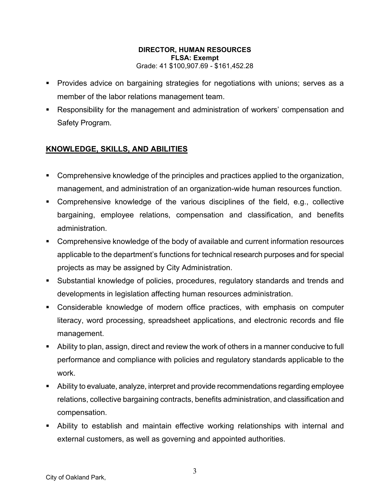- **Provides advice on bargaining strategies for negotiations with unions; serves as a** member of the labor relations management team.
- Responsibility for the management and administration of workers' compensation and Safety Program.

# **KNOWLEDGE, SKILLS, AND ABILITIES**

- **Comprehensive knowledge of the principles and practices applied to the organization,** management, and administration of an organization-wide human resources function.
- Comprehensive knowledge of the various disciplines of the field, e.g., collective bargaining, employee relations, compensation and classification, and benefits administration.
- **Comprehensive knowledge of the body of available and current information resources** applicable to the department's functions for technical research purposes and for special projects as may be assigned by City Administration.
- Substantial knowledge of policies, procedures, regulatory standards and trends and developments in legislation affecting human resources administration.
- Considerable knowledge of modern office practices, with emphasis on computer literacy, word processing, spreadsheet applications, and electronic records and file management.
- Ability to plan, assign, direct and review the work of others in a manner conducive to full performance and compliance with policies and regulatory standards applicable to the work.
- Ability to evaluate, analyze, interpret and provide recommendations regarding employee relations, collective bargaining contracts, benefits administration, and classification and compensation.
- Ability to establish and maintain effective working relationships with internal and external customers, as well as governing and appointed authorities.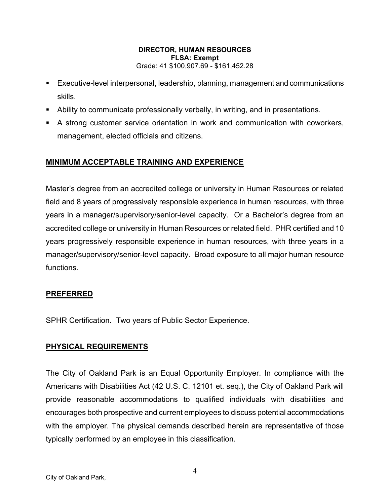- Executive-level interpersonal, leadership, planning, management and communications skills.
- Ability to communicate professionally verbally, in writing, and in presentations.
- A strong customer service orientation in work and communication with coworkers, management, elected officials and citizens.

## **MINIMUM ACCEPTABLE TRAINING AND EXPERIENCE**

Master's degree from an accredited college or university in Human Resources or related field and 8 years of progressively responsible experience in human resources, with three years in a manager/supervisory/senior-level capacity. Or a Bachelor's degree from an accredited college or university in Human Resources or related field. PHR certified and 10 years progressively responsible experience in human resources, with three years in a manager/supervisory/senior-level capacity. Broad exposure to all major human resource functions.

### **PREFERRED**

SPHR Certification. Two years of Public Sector Experience.

## **PHYSICAL REQUIREMENTS**

The City of Oakland Park is an Equal Opportunity Employer. In compliance with the Americans with Disabilities Act (42 U.S. C. 12101 et. seq.), the City of Oakland Park will provide reasonable accommodations to qualified individuals with disabilities and encourages both prospective and current employees to discuss potential accommodations with the employer. The physical demands described herein are representative of those typically performed by an employee in this classification.